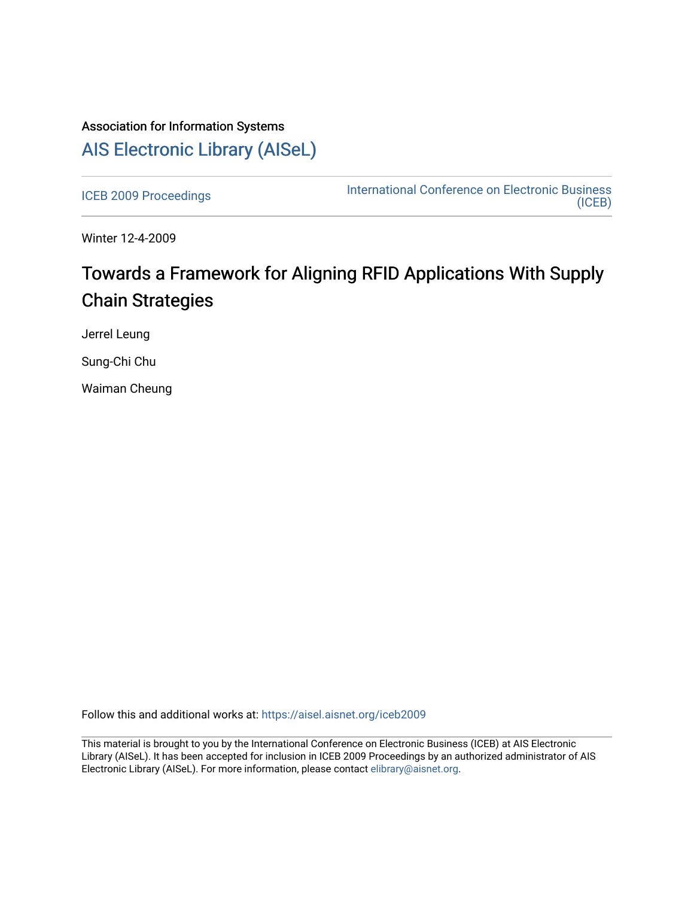# Association for Information Systems [AIS Electronic Library \(AISeL\)](https://aisel.aisnet.org/)

[ICEB 2009 Proceedings](https://aisel.aisnet.org/iceb2009) **International Conference on Electronic Business** [\(ICEB\)](https://aisel.aisnet.org/iceb) 

Winter 12-4-2009

# Towards a Framework for Aligning RFID Applications With Supply Chain Strategies

Jerrel Leung

Sung-Chi Chu

Waiman Cheung

Follow this and additional works at: [https://aisel.aisnet.org/iceb2009](https://aisel.aisnet.org/iceb2009?utm_source=aisel.aisnet.org%2Ficeb2009%2F131&utm_medium=PDF&utm_campaign=PDFCoverPages)

This material is brought to you by the International Conference on Electronic Business (ICEB) at AIS Electronic Library (AISeL). It has been accepted for inclusion in ICEB 2009 Proceedings by an authorized administrator of AIS Electronic Library (AISeL). For more information, please contact [elibrary@aisnet.org.](mailto:elibrary@aisnet.org%3E)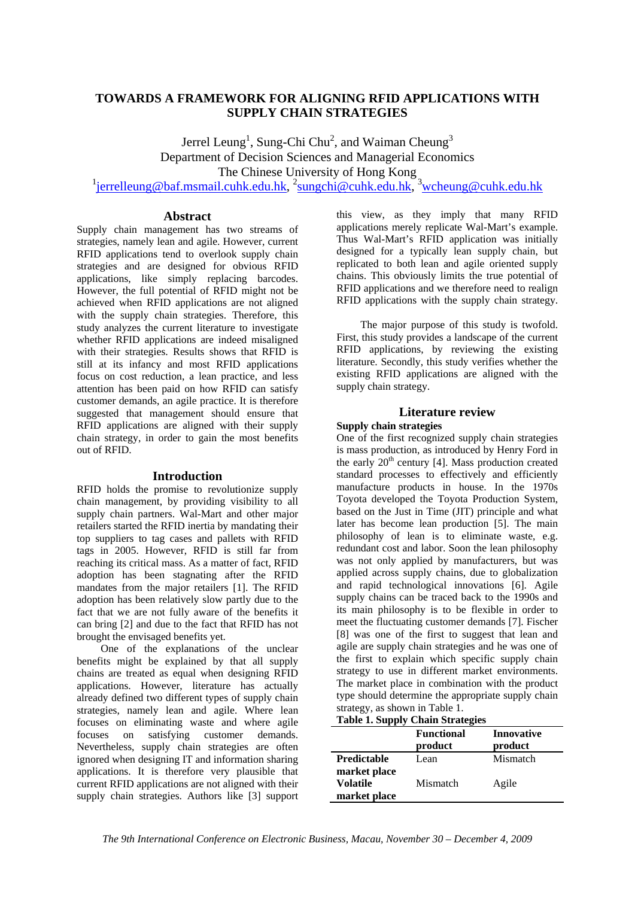## **TOWARDS A FRAMEWORK FOR ALIGNING RFID APPLICATIONS WITH SUPPLY CHAIN STRATEGIES**

Jerrel Leung<sup>1</sup>, Sung-Chi Chu<sup>2</sup>, and Waiman Cheung<sup>3</sup> Department of Decision Sciences and Managerial Economics The Chinese University of Hong Kong <sup>1</sup>jerrelleung@baf.msmail.cuhk.edu.hk, <sup>2</sup>sungchi@cuhk.edu.hk, <sup>3</sup>wcheung@cuhk.edu.hk

#### **Abstract**

Supply chain management has two streams of strategies, namely lean and agile. However, current RFID applications tend to overlook supply chain strategies and are designed for obvious RFID applications, like simply replacing barcodes. However, the full potential of RFID might not be achieved when RFID applications are not aligned with the supply chain strategies. Therefore, this study analyzes the current literature to investigate whether RFID applications are indeed misaligned with their strategies. Results shows that RFID is still at its infancy and most RFID applications focus on cost reduction, a lean practice, and less attention has been paid on how RFID can satisfy customer demands, an agile practice. It is therefore suggested that management should ensure that RFID applications are aligned with their supply chain strategy, in order to gain the most benefits out of RFID.

#### **Introduction**

RFID holds the promise to revolutionize supply chain management, by providing visibility to all supply chain partners. Wal-Mart and other major retailers started the RFID inertia by mandating their top suppliers to tag cases and pallets with RFID tags in 2005. However, RFID is still far from reaching its critical mass. As a matter of fact, RFID adoption has been stagnating after the RFID mandates from the major retailers [1]. The RFID adoption has been relatively slow partly due to the fact that we are not fully aware of the benefits it can bring [2] and due to the fact that RFID has not brought the envisaged benefits yet.

One of the explanations of the unclear benefits might be explained by that all supply chains are treated as equal when designing RFID applications. However, literature has actually already defined two different types of supply chain strategies, namely lean and agile. Where lean focuses on eliminating waste and where agile focuses on satisfying customer demands. Nevertheless, supply chain strategies are often ignored when designing IT and information sharing applications. It is therefore very plausible that current RFID applications are not aligned with their supply chain strategies. Authors like [3] support

this view, as they imply that many RFID applications merely replicate Wal-Mart's example. Thus Wal-Mart's RFID application was initially designed for a typically lean supply chain, but replicated to both lean and agile oriented supply chains. This obviously limits the true potential of RFID applications and we therefore need to realign RFID applications with the supply chain strategy.

The major purpose of this study is twofold. First, this study provides a landscape of the current RFID applications, by reviewing the existing literature. Secondly, this study verifies whether the existing RFID applications are aligned with the supply chain strategy.

### **Literature review**

#### **Supply chain strategies**

One of the first recognized supply chain strategies is mass production, as introduced by Henry Ford in the early  $20<sup>th</sup>$  century [4]. Mass production created standard processes to effectively and efficiently manufacture products in house. In the 1970s Toyota developed the Toyota Production System, based on the Just in Time (JIT) principle and what later has become lean production [5]. The main philosophy of lean is to eliminate waste, e.g. redundant cost and labor. Soon the lean philosophy was not only applied by manufacturers, but was applied across supply chains, due to globalization and rapid technological innovations [6]. Agile supply chains can be traced back to the 1990s and its main philosophy is to be flexible in order to meet the fluctuating customer demands [7]. Fischer [8] was one of the first to suggest that lean and agile are supply chain strategies and he was one of the first to explain which specific supply chain strategy to use in different market environments. The market place in combination with the product type should determine the appropriate supply chain strategy, as shown in Table 1.

#### **Table 1. Supply Chain Strategies**

|                                                 | <b>Functional</b><br>product | Innovative<br>product |
|-------------------------------------------------|------------------------------|-----------------------|
| <b>Predictable</b>                              | Lean                         | Mismatch              |
| market place<br><b>Volatile</b><br>market place | Mismatch                     | Agile                 |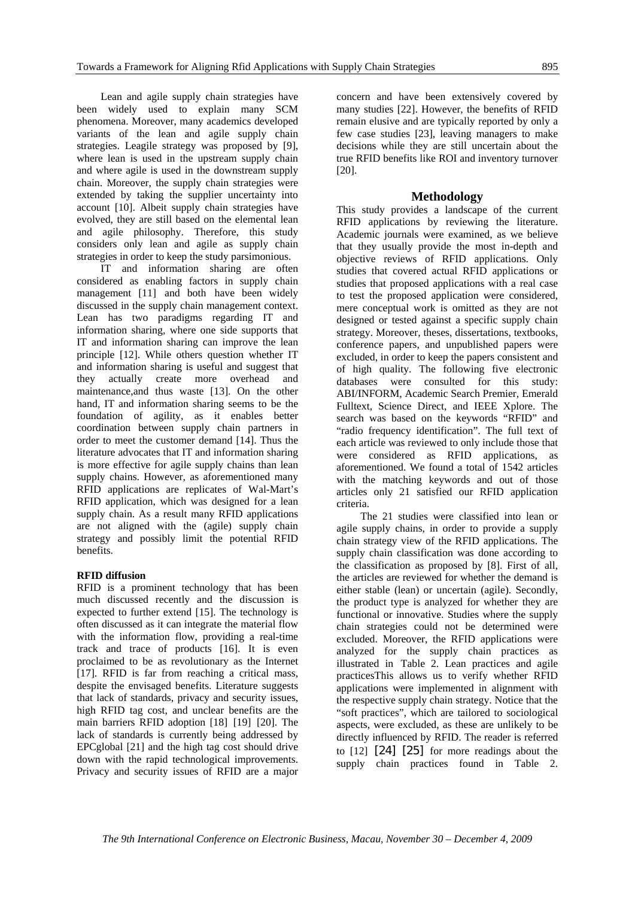Lean and agile supply chain strategies have been widely used to explain many SCM phenomena. Moreover, many academics developed variants of the lean and agile supply chain strategies. Leagile strategy was proposed by [9], where lean is used in the upstream supply chain and where agile is used in the downstream supply chain. Moreover, the supply chain strategies were extended by taking the supplier uncertainty into account [10]. Albeit supply chain strategies have evolved, they are still based on the elemental lean and agile philosophy. Therefore, this study considers only lean and agile as supply chain strategies in order to keep the study parsimonious.

IT and information sharing are often considered as enabling factors in supply chain management [11] and both have been widely discussed in the supply chain management context. Lean has two paradigms regarding IT and information sharing, where one side supports that IT and information sharing can improve the lean principle [12]. While others question whether IT and information sharing is useful and suggest that they actually create more overhead and maintenance,and thus waste [13]. On the other hand, IT and information sharing seems to be the foundation of agility, as it enables better coordination between supply chain partners in order to meet the customer demand [14]. Thus the literature advocates that IT and information sharing is more effective for agile supply chains than lean supply chains. However, as aforementioned many RFID applications are replicates of Wal-Mart's RFID application, which was designed for a lean supply chain. As a result many RFID applications are not aligned with the (agile) supply chain strategy and possibly limit the potential RFID benefits.

#### **RFID diffusion**

RFID is a prominent technology that has been much discussed recently and the discussion is expected to further extend [15]. The technology is often discussed as it can integrate the material flow with the information flow, providing a real-time track and trace of products [16]. It is even proclaimed to be as revolutionary as the Internet [17]. RFID is far from reaching a critical mass, despite the envisaged benefits. Literature suggests that lack of standards, privacy and security issues, high RFID tag cost, and unclear benefits are the main barriers RFID adoption [18] [19] [20]. The lack of standards is currently being addressed by EPCglobal [21] and the high tag cost should drive down with the rapid technological improvements. Privacy and security issues of RFID are a major

concern and have been extensively covered by many studies [22]. However, the benefits of RFID remain elusive and are typically reported by only a few case studies [23], leaving managers to make decisions while they are still uncertain about the true RFID benefits like ROI and inventory turnover [20].

#### **Methodology**

This study provides a landscape of the current RFID applications by reviewing the literature. Academic journals were examined, as we believe that they usually provide the most in-depth and objective reviews of RFID applications. Only studies that covered actual RFID applications or studies that proposed applications with a real case to test the proposed application were considered, mere conceptual work is omitted as they are not designed or tested against a specific supply chain strategy. Moreover, theses, dissertations, textbooks, conference papers, and unpublished papers were excluded, in order to keep the papers consistent and of high quality. The following five electronic databases were consulted for this study: ABI/INFORM, Academic Search Premier, Emerald Fulltext, Science Direct, and IEEE Xplore. The search was based on the keywords "RFID" and "radio frequency identification". The full text of each article was reviewed to only include those that were considered as RFID applications, as aforementioned. We found a total of 1542 articles with the matching keywords and out of those articles only 21 satisfied our RFID application criteria.

The 21 studies were classified into lean or agile supply chains, in order to provide a supply chain strategy view of the RFID applications. The supply chain classification was done according to the classification as proposed by [8]. First of all, the articles are reviewed for whether the demand is either stable (lean) or uncertain (agile). Secondly, the product type is analyzed for whether they are functional or innovative. Studies where the supply chain strategies could not be determined were excluded. Moreover, the RFID applications were analyzed for the supply chain practices as illustrated in Table 2. Lean practices and agile practicesThis allows us to verify whether RFID applications were implemented in alignment with the respective supply chain strategy. Notice that the "soft practices", which are tailored to sociological aspects, were excluded, as these are unlikely to be directly influenced by RFID. The reader is referred to [12] [24] [25] for more readings about the supply chain practices found in Table 2.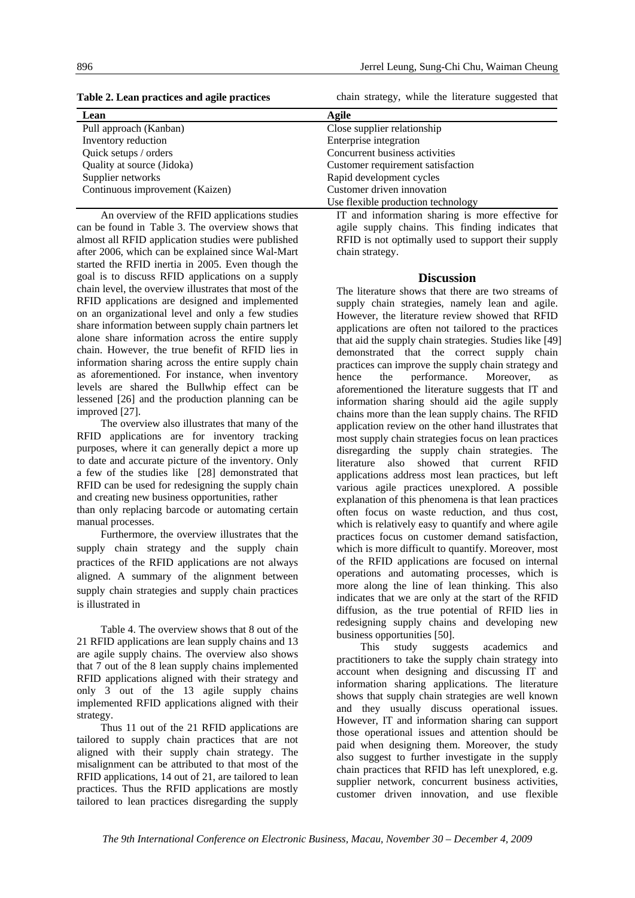**Table 2. Lean practices and agile practices** 

chain strategy, while the literature suggested that

| Lean                            | Agile                              |
|---------------------------------|------------------------------------|
| Pull approach (Kanban)          | Close supplier relationship        |
| Inventory reduction             | Enterprise integration             |
| Quick setups / orders           | Concurrent business activities     |
| Quality at source (Jidoka)      | Customer requirement satisfaction  |
| Supplier networks               | Rapid development cycles           |
| Continuous improvement (Kaizen) | Customer driven innovation         |
|                                 | Use flexible production technology |

An overview of the RFID applications studies can be found in Table 3. The overview shows that almost all RFID application studies were published after 2006, which can be explained since Wal-Mart started the RFID inertia in 2005. Even though the goal is to discuss RFID applications on a supply chain level, the overview illustrates that most of the RFID applications are designed and implemented on an organizational level and only a few studies share information between supply chain partners let alone share information across the entire supply chain. However, the true benefit of RFID lies in information sharing across the entire supply chain as aforementioned. For instance, when inventory levels are shared the Bullwhip effect can be lessened [26] and the production planning can be improved [27].

The overview also illustrates that many of the RFID applications are for inventory tracking purposes, where it can generally depict a more up to date and accurate picture of the inventory. Only a few of the studies like [28] demonstrated that RFID can be used for redesigning the supply chain and creating new business opportunities, rather

than only replacing barcode or automating certain manual processes.

Furthermore, the overview illustrates that the supply chain strategy and the supply chain practices of the RFID applications are not always aligned. A summary of the alignment between supply chain strategies and supply chain practices is illustrated in

Table 4. The overview shows that 8 out of the 21 RFID applications are lean supply chains and 13 are agile supply chains. The overview also shows that 7 out of the 8 lean supply chains implemented RFID applications aligned with their strategy and only 3 out of the 13 agile supply chains implemented RFID applications aligned with their strategy.

Thus 11 out of the 21 RFID applications are tailored to supply chain practices that are not aligned with their supply chain strategy. The misalignment can be attributed to that most of the RFID applications, 14 out of 21, are tailored to lean practices. Thus the RFID applications are mostly tailored to lean practices disregarding the supply

IT and information sharing is more effective for agile supply chains. This finding indicates that RFID is not optimally used to support their supply chain strategy.

#### **Discussion**

The literature shows that there are two streams of supply chain strategies, namely lean and agile. However, the literature review showed that RFID applications are often not tailored to the practices that aid the supply chain strategies. Studies like [49] demonstrated that the correct supply chain practices can improve the supply chain strategy and hence the performance. Moreover, as aforementioned the literature suggests that IT and information sharing should aid the agile supply chains more than the lean supply chains. The RFID application review on the other hand illustrates that most supply chain strategies focus on lean practices disregarding the supply chain strategies. The literature also showed that current RFID applications address most lean practices, but left various agile practices unexplored. A possible explanation of this phenomena is that lean practices often focus on waste reduction, and thus cost, which is relatively easy to quantify and where agile practices focus on customer demand satisfaction, which is more difficult to quantify. Moreover, most of the RFID applications are focused on internal operations and automating processes, which is more along the line of lean thinking. This also indicates that we are only at the start of the RFID diffusion, as the true potential of RFID lies in redesigning supply chains and developing new business opportunities [50].

This study suggests academics and practitioners to take the supply chain strategy into account when designing and discussing IT and information sharing applications. The literature shows that supply chain strategies are well known and they usually discuss operational issues. However, IT and information sharing can support those operational issues and attention should be paid when designing them. Moreover, the study also suggest to further investigate in the supply chain practices that RFID has left unexplored, e.g. supplier network, concurrent business activities, customer driven innovation, and use flexible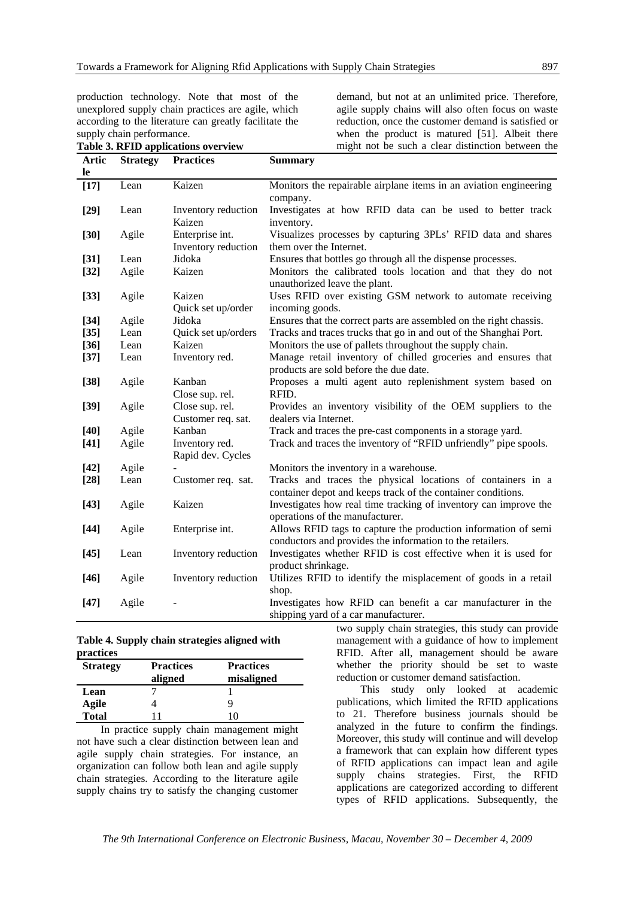production technology. Note that most of the unexplored supply chain practices are agile, which according to the literature can greatly facilitate the supply chain performance. **Table 3. RFID applications overview**

demand, but not at an unlimited price. Therefore, agile supply chains will also often focus on waste reduction, once the customer demand is satisfied or when the product is matured [51]. Albeit there might not be such a clear distinction between the

| Artic     | <b>Strategy</b> | <b>Practices</b>                       | <b>Summary</b>                                                                               |
|-----------|-----------------|----------------------------------------|----------------------------------------------------------------------------------------------|
| <b>le</b> |                 |                                        |                                                                                              |
| $[17]$    | Lean            | Kaizen                                 | Monitors the repairable airplane items in an aviation engineering<br>company.                |
| $[29]$    | Lean            | Inventory reduction                    | Investigates at how RFID data can be used to better track                                    |
|           |                 | Kaizen                                 | inventory.                                                                                   |
| $[30]$    | Agile           | Enterprise int.<br>Inventory reduction | Visualizes processes by capturing 3PLs' RFID data and shares<br>them over the Internet.      |
| $[31]$    | Lean            | Jidoka                                 | Ensures that bottles go through all the dispense processes.                                  |
| $[32]$    | Agile           | Kaizen                                 | Monitors the calibrated tools location and that they do not<br>unauthorized leave the plant. |
| $[33]$    | Agile           | Kaizen                                 | Uses RFID over existing GSM network to automate receiving                                    |
|           |                 | Quick set up/order                     | incoming goods.                                                                              |
| $[34]$    | Agile           | Jidoka                                 | Ensures that the correct parts are assembled on the right chassis.                           |
| $[35]$    | Lean            | Quick set up/orders                    | Tracks and traces trucks that go in and out of the Shanghai Port.                            |
| $[36]$    | Lean            | Kaizen                                 | Monitors the use of pallets throughout the supply chain.                                     |
| $[37]$    | Lean            | Inventory red.                         | Manage retail inventory of chilled groceries and ensures that                                |
|           |                 |                                        | products are sold before the due date.                                                       |
| $[38]$    | Agile           | Kanban                                 | Proposes a multi agent auto replenishment system based on                                    |
|           |                 | Close sup. rel.                        | RFID.                                                                                        |
| $[39]$    | Agile           | Close sup. rel.                        | Provides an inventory visibility of the OEM suppliers to the                                 |
|           |                 | Customer req. sat.                     | dealers via Internet.                                                                        |
| $[40]$    | Agile           | Kanban                                 | Track and traces the pre-cast components in a storage yard.                                  |
| $[41]$    | Agile           | Inventory red.                         | Track and traces the inventory of "RFID unfriendly" pipe spools.                             |
|           |                 | Rapid dev. Cycles                      |                                                                                              |
| $[42]$    | Agile           |                                        | Monitors the inventory in a warehouse.                                                       |
| $[28]$    | Lean            | Customer req. sat.                     | Tracks and traces the physical locations of containers in a                                  |
|           |                 |                                        | container depot and keeps track of the container conditions.                                 |
| $[43]$    | Agile           | Kaizen                                 | Investigates how real time tracking of inventory can improve the                             |
|           |                 |                                        | operations of the manufacturer.                                                              |
| $[44]$    | Agile           | Enterprise int.                        | Allows RFID tags to capture the production information of semi                               |
|           |                 |                                        | conductors and provides the information to the retailers.                                    |
| $[45]$    | Lean            | Inventory reduction                    | Investigates whether RFID is cost effective when it is used for                              |
|           |                 |                                        | product shrinkage.                                                                           |
| $[46]$    | Agile           | Inventory reduction                    | Utilizes RFID to identify the misplacement of goods in a retail                              |
|           |                 |                                        | shop.                                                                                        |
| $[47]$    | Agile           |                                        | Investigates how RFID can benefit a car manufacturer in the                                  |
|           |                 |                                        | shipping yard of a car manufacturer.                                                         |

#### **Table 4. Supply chain strategies aligned with practices**

| <b>Strategy</b> | <b>Practices</b> | <b>Practices</b> |
|-----------------|------------------|------------------|
|                 | aligned          | misaligned       |
| Lean            |                  |                  |
| Agile           |                  |                  |
| <b>Total</b>    |                  | 10               |
| $-$             | $\sim$<br>       | . .              |

In practice supply chain management might not have such a clear distinction between lean and agile supply chain strategies. For instance, an organization can follow both lean and agile supply chain strategies. According to the literature agile supply chains try to satisfy the changing customer

two supply chain strategies, this study can provide management with a guidance of how to implement RFID. After all, management should be aware whether the priority should be set to waste reduction or customer demand satisfaction.

This study only looked at academic publications, which limited the RFID applications to 21. Therefore business journals should be analyzed in the future to confirm the findings. Moreover, this study will continue and will develop a framework that can explain how different types of RFID applications can impact lean and agile supply chains strategies. First, the RFID applications are categorized according to different types of RFID applications. Subsequently, the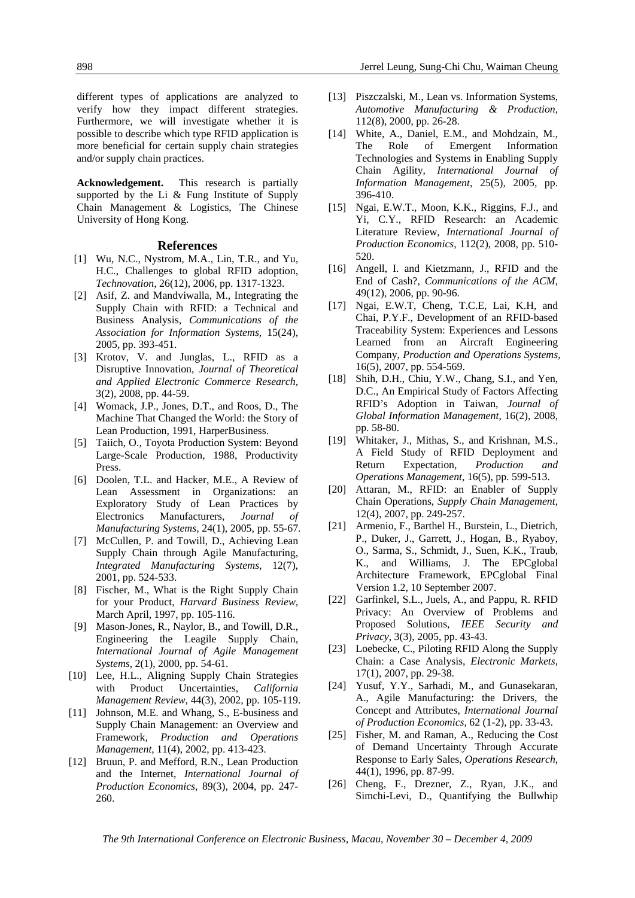different types of applications are analyzed to verify how they impact different strategies. Furthermore, we will investigate whether it is possible to describe which type RFID application is more beneficial for certain supply chain strategies and/or supply chain practices.

**Acknowledgement.** This research is partially supported by the Li & Fung Institute of Supply Chain Management & Logistics, The Chinese University of Hong Kong.

#### **References**

- [1] Wu, N.C., Nystrom, M.A., Lin, T.R., and Yu, H.C., Challenges to global RFID adoption, *Technovation*, 26(12), 2006, pp. 1317-1323.
- [2] Asif, Z. and Mandviwalla, M., Integrating the Supply Chain with RFID: a Technical and Business Analysis, *Communications of the Association for Information Systems,* 15(24), 2005, pp. 393-451.
- [3] Krotov, V. and Junglas, L., RFID as a Disruptive Innovation, *Journal of Theoretical and Applied Electronic Commerce Research*, 3(2), 2008, pp. 44-59.
- [4] Womack, J.P., Jones, D.T., and Roos, D., The Machine That Changed the World: the Story of Lean Production, 1991, HarperBusiness.
- [5] Taiich, O., Toyota Production System: Beyond Large-Scale Production, 1988, Productivity Press.
- [6] Doolen, T.L. and Hacker, M.E., A Review of Lean Assessment in Organizations: an Exploratory Study of Lean Practices by Electronics Manufacturers, *Journal of Manufacturing Systems*, 24(1), 2005, pp. 55-67.
- [7] McCullen, P. and Towill, D., Achieving Lean Supply Chain through Agile Manufacturing, *Integrated Manufacturing Systems*, 12(7), 2001, pp. 524-533.
- [8] Fischer, M., What is the Right Supply Chain for your Product, *Harvard Business Review,* March April, 1997, pp. 105-116.
- [9] Mason-Jones, R., Naylor, B., and Towill, D.R., Engineering the Leagile Supply Chain, *International Journal of Agile Management Systems*, 2(1), 2000, pp. 54-61.
- [10] Lee, H.L., Aligning Supply Chain Strategies with Product Uncertainties, *California Management Review*, 44(3), 2002, pp. 105-119.
- [11] Johnson, M.E. and Whang, S., E-business and Supply Chain Management: an Overview and Framework, *Production and Operations Management*, 11(4), 2002, pp. 413-423.
- [12] Bruun, P. and Mefford, R.N., Lean Production and the Internet, *International Journal of Production Economics*, 89(3), 2004, pp. 247- 260.
- [13] Piszczalski, M., Lean vs. Information Systems, *Automotive Manufacturing & Production*, 112(8), 2000, pp. 26-28.
- [14] White, A., Daniel, E.M., and Mohdzain, M., The Role of Emergent Information Technologies and Systems in Enabling Supply Chain Agility, *International Journal of Information Management*, 25(5), 2005, pp. 396-410.
- [15] Ngai, E.W.T., Moon, K.K., Riggins, F.J., and Yi, C.Y., RFID Research: an Academic Literature Review, *International Journal of Production Economics*, 112(2), 2008, pp. 510- 520.
- [16] Angell, I. and Kietzmann, J., RFID and the End of Cash?, *Communications of the ACM*, 49(12), 2006, pp. 90-96.
- [17] Ngai, E.W.T, Cheng, T.C.E, Lai, K.H, and Chai, P.Y.F., Development of an RFID-based Traceability System: Experiences and Lessons Learned from an Aircraft Engineering Company, *Production and Operations Systems*, 16(5), 2007, pp. 554-569.
- [18] Shih, D.H., Chiu, Y.W., Chang, S.I., and Yen, D.C., An Empirical Study of Factors Affecting RFID's Adoption in Taiwan, *Journal of Global Information Management*, 16(2), 2008, pp. 58-80.
- [19] Whitaker, J., Mithas, S., and Krishnan, M.S., A Field Study of RFID Deployment and Return Expectation, *Production and Operations Management*, 16(5), pp. 599-513.
- [20] Attaran, M., RFID: an Enabler of Supply Chain Operations, *Supply Chain Management*, 12(4), 2007, pp. 249-257.
- [21] Armenio, F., Barthel H., Burstein, L., Dietrich, P., Duker, J., Garrett, J., Hogan, B., Ryaboy, O., Sarma, S., Schmidt, J., Suen, K.K., Traub, K., and Williams, J. The EPCglobal Architecture Framework, EPCglobal Final Version 1.2, 10 September 2007.
- [22] Garfinkel, S.L., Juels, A., and Pappu, R. RFID Privacy: An Overview of Problems and Proposed Solutions, *IEEE Security and Privacy*, 3(3), 2005, pp. 43-43.
- [23] Loebecke, C., Piloting RFID Along the Supply Chain: a Case Analysis, *Electronic Markets*, 17(1), 2007, pp. 29-38.
- [24] Yusuf, Y.Y., Sarhadi, M., and Gunasekaran, A., Agile Manufacturing: the Drivers, the Concept and Attributes, *International Journal of Production Economics*, 62 (1-2), pp. 33-43.
- [25] Fisher, M. and Raman, A., Reducing the Cost of Demand Uncertainty Through Accurate Response to Early Sales, *Operations Research*, 44(1), 1996, pp. 87-99.
- [26] Cheng, F., Drezner, Z., Ryan, J.K., and Simchi-Levi, D., Quantifying the Bullwhip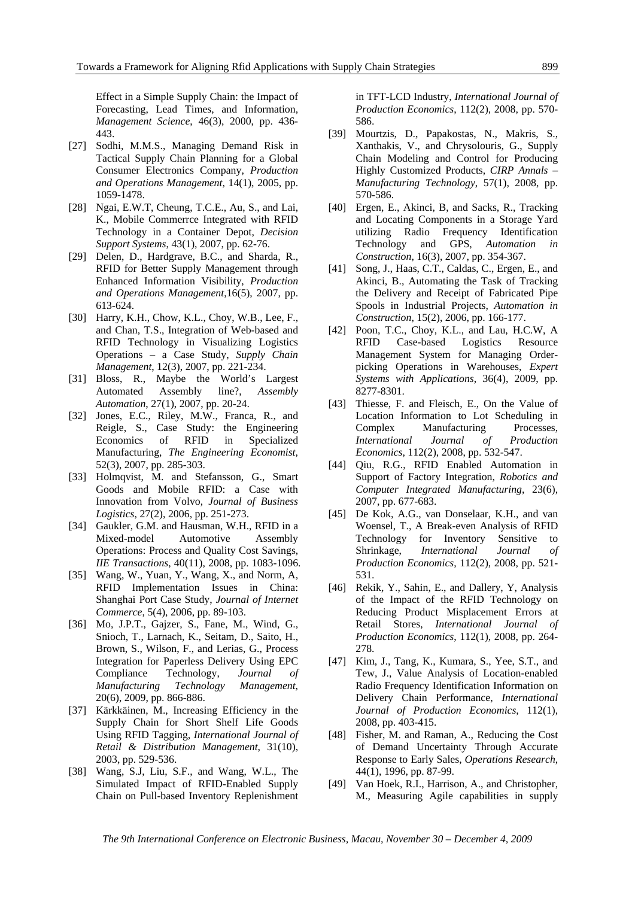Effect in a Simple Supply Chain: the Impact of Forecasting, Lead Times, and Information, *Management Science*, 46(3), 2000, pp. 436- 443.

- [27] Sodhi, M.M.S., Managing Demand Risk in Tactical Supply Chain Planning for a Global Consumer Electronics Company, *Production and Operations Management*, 14(1), 2005, pp. 1059-1478.
- [28] Ngai, E.W.T, Cheung, T.C.E., Au, S., and Lai, K., Mobile Commerrce Integrated with RFID Technology in a Container Depot, *Decision Support Systems*, 43(1), 2007, pp. 62-76.
- [29] Delen, D., Hardgrave, B.C., and Sharda, R., RFID for Better Supply Management through Enhanced Information Visibility, *Production and Operations Management*,16(5), 2007, pp. 613-624.
- [30] Harry, K.H., Chow, K.L., Choy, W.B., Lee, F., and Chan, T.S., Integration of Web-based and RFID Technology in Visualizing Logistics Operations – a Case Study, *Supply Chain Management*, 12(3), 2007, pp. 221-234.
- [31] Bloss, R., Maybe the World's Largest Automated Assembly line?, *Assembly Automation*, 27(1), 2007, pp. 20-24.
- [32] Jones, E.C., Riley, M.W., Franca, R., and Reigle, S., Case Study: the Engineering Economics of RFID in Specialized Manufacturing, *The Engineering Economist*, 52(3), 2007, pp. 285-303.
- [33] Holmqvist, M. and Stefansson, G., Smart Goods and Mobile RFID: a Case with Innovation from Volvo, *Journal of Business Logistics*, 27(2), 2006, pp. 251-273.
- [34] Gaukler, G.M. and Hausman, W.H., RFID in a Mixed-model Automotive Assembly Operations: Process and Quality Cost Savings, *IIE Transactions*, 40(11), 2008, pp. 1083-1096.
- [35] Wang, W., Yuan, Y., Wang, X., and Norm, A, RFID Implementation Issues in China: Shanghai Port Case Study, *Journal of Internet Commerce*, 5(4), 2006, pp. 89-103.
- [36] Mo, J.P.T., Gajzer, S., Fane, M., Wind, G., Snioch, T., Larnach, K., Seitam, D., Saito, H., Brown, S., Wilson, F., and Lerias, G., Process Integration for Paperless Delivery Using EPC Compliance Technology, *Journal of Manufacturing Technology Management*, 20(6), 2009, pp. 866-886.
- [37] Kärkkäinen, M., Increasing Efficiency in the Supply Chain for Short Shelf Life Goods Using RFID Tagging, *International Journal of Retail & Distribution Management*, 31(10), 2003, pp. 529-536.
- [38] Wang, S.J, Liu, S.F., and Wang, W.L., The Simulated Impact of RFID-Enabled Supply Chain on Pull-based Inventory Replenishment

in TFT-LCD Industry, *International Journal of Production Economics*, 112(2), 2008, pp. 570- 586.

- [39] Mourtzis, D., Papakostas, N., Makris, S., Xanthakis, V., and Chrysolouris, G., Supply Chain Modeling and Control for Producing Highly Customized Products, *CIRP Annals – Manufacturing Technology*, 57(1), 2008, pp. 570-586.
- [40] Ergen, E., Akinci, B, and Sacks, R., Tracking and Locating Components in a Storage Yard utilizing Radio Frequency Identification Technology and GPS, *Automation in Construction*, 16(3), 2007, pp. 354-367.
- [41] Song, J., Haas, C.T., Caldas, C., Ergen, E., and Akinci, B., Automating the Task of Tracking the Delivery and Receipt of Fabricated Pipe Spools in Industrial Projects, *Automation in Construction*, 15(2), 2006, pp. 166-177.
- [42] Poon, T.C., Choy, K.L., and Lau, H.C.W, A RFID Case-based Logistics Resource Management System for Managing Orderpicking Operations in Warehouses, *Expert Systems with Applications*, 36(4), 2009, pp. 8277-8301.
- [43] Thiesse, F. and Fleisch, E., On the Value of Location Information to Lot Scheduling in Complex Manufacturing Processes, *International Journal of Production Economics*, 112(2), 2008, pp. 532-547.
- [44] Qiu, R.G., RFID Enabled Automation in Support of Factory Integration, *Robotics and Computer Integrated Manufacturing*, 23(6), 2007, pp. 677-683.
- [45] De Kok, A.G., van Donselaar, K.H., and van Woensel, T., A Break-even Analysis of RFID Technology for Inventory Sensitive to Shrinkage, *International Journal of Production Economics*, 112(2), 2008, pp. 521- 531.
- [46] Rekik, Y., Sahin, E., and Dallery, Y, Analysis of the Impact of the RFID Technology on Reducing Product Misplacement Errors at Retail Stores, *International Journal of Production Economics*, 112(1), 2008, pp. 264- 278.
- [47] Kim, J., Tang, K., Kumara, S., Yee, S.T., and Tew, J., Value Analysis of Location-enabled Radio Frequency Identification Information on Delivery Chain Performance, *International Journal of Production Economics*, 112(1), 2008, pp. 403-415.
- [48] Fisher, M. and Raman, A., Reducing the Cost of Demand Uncertainty Through Accurate Response to Early Sales, *Operations Research*, 44(1), 1996, pp. 87-99.
- [49] Van Hoek, R.I., Harrison, A., and Christopher, M., Measuring Agile capabilities in supply